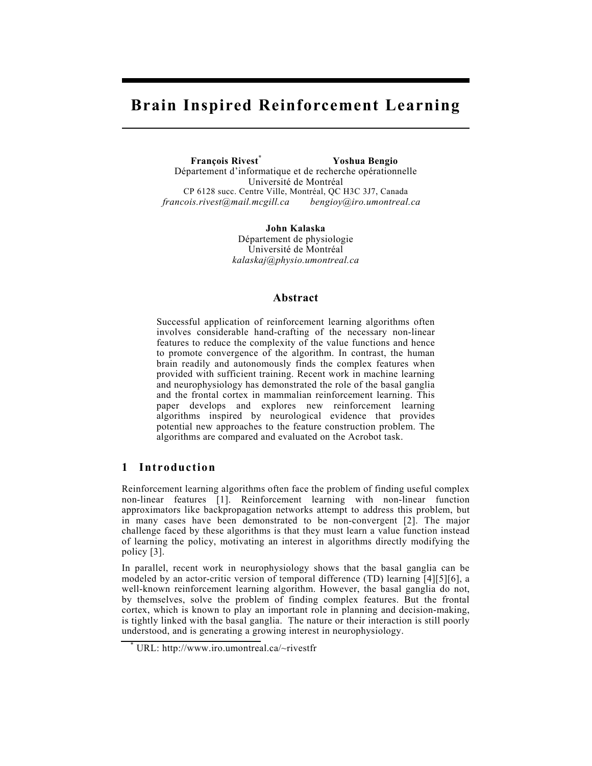# **Brain Inspired Reinforcement Learning**

 **François Rivest\* Yoshua Bengio**  Département d'informatique et de recherche opérationnelle Université de Montréal CP 6128 succ. Centre Ville, Montréal, QC H3C 3J7, Canada *francois.rivest@mail.mcgill.ca bengioy@iro.umontreal.ca* 

> **John Kalaska**  Département de physiologie Université de Montréal *kalaskaj@physio.umontreal.ca*

# **Abstract**

Successful application of reinforcement learning algorithms often involves considerable hand-crafting of the necessary non-linear features to reduce the complexity of the value functions and hence to promote convergence of the algorithm. In contrast, the human brain readily and autonomously finds the complex features when provided with sufficient training. Recent work in machine learning and neurophysiology has demonstrated the role of the basal ganglia and the frontal cortex in mammalian reinforcement learning. This paper develops and explores new reinforcement learning algorithms inspired by neurological evidence that provides potential new approaches to the feature construction problem. The algorithms are compared and evaluated on the Acrobot task.

# **1 Introduction**

Reinforcement learning algorithms often face the problem of finding useful complex non-linear features [1]. Reinforcement learning with non-linear function approximators like backpropagation networks attempt to address this problem, but in many cases have been demonstrated to be non-convergent [2]. The major challenge faced by these algorithms is that they must learn a value function instead of learning the policy, motivating an interest in algorithms directly modifying the policy [3].

In parallel, recent work in neurophysiology shows that the basal ganglia can be modeled by an actor-critic version of temporal difference (TD) learning [4][5][6], a well-known reinforcement learning algorithm. However, the basal ganglia do not, by themselves, solve the problem of finding complex features. But the frontal cortex, which is known to play an important role in planning and decision-making, is tightly linked with the basal ganglia. The nature or their interaction is still poorly understood, and is generating a growing interest in neurophysiology.

<sup>\*</sup> URL: http://www.iro.umontreal.ca/~rivestfr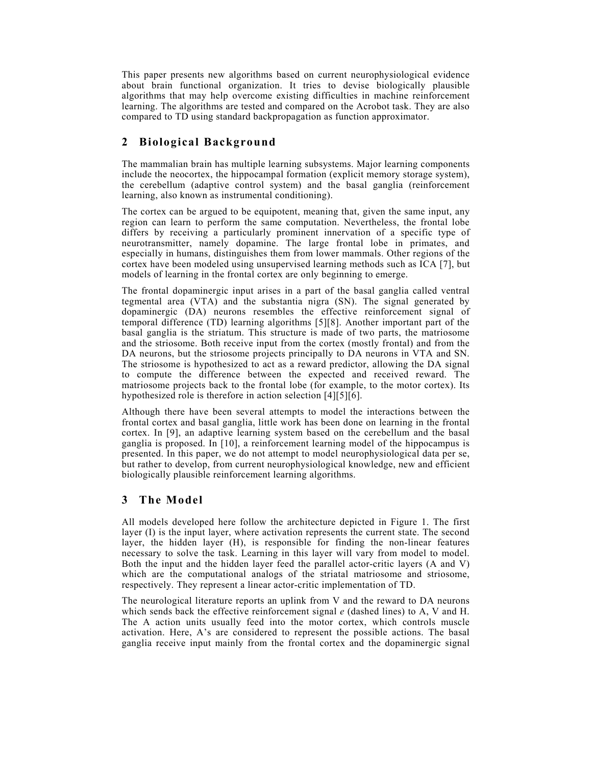This paper presents new algorithms based on current neurophysiological evidence about brain functional organization. It tries to devise biologically plausible algorithms that may help overcome existing difficulties in machine reinforcement learning. The algorithms are tested and compared on the Acrobot task. They are also compared to TD using standard backpropagation as function approximator.

# **2 Biological Background**

The mammalian brain has multiple learning subsystems. Major learning components include the neocortex, the hippocampal formation (explicit memory storage system), the cerebellum (adaptive control system) and the basal ganglia (reinforcement learning, also known as instrumental conditioning).

The cortex can be argued to be equipotent, meaning that, given the same input, any region can learn to perform the same computation. Nevertheless, the frontal lobe differs by receiving a particularly prominent innervation of a specific type of neurotransmitter, namely dopamine. The large frontal lobe in primates, and especially in humans, distinguishes them from lower mammals. Other regions of the cortex have been modeled using unsupervised learning methods such as ICA [7], but models of learning in the frontal cortex are only beginning to emerge.

The frontal dopaminergic input arises in a part of the basal ganglia called ventral tegmental area (VTA) and the substantia nigra (SN). The signal generated by dopaminergic (DA) neurons resembles the effective reinforcement signal of temporal difference (TD) learning algorithms [5][8]. Another important part of the basal ganglia is the striatum. This structure is made of two parts, the matriosome and the striosome. Both receive input from the cortex (mostly frontal) and from the DA neurons, but the striosome projects principally to DA neurons in VTA and SN. The striosome is hypothesized to act as a reward predictor, allowing the DA signal to compute the difference between the expected and received reward. The matriosome projects back to the frontal lobe (for example, to the motor cortex). Its hypothesized role is therefore in action selection [4][5][6].

Although there have been several attempts to model the interactions between the frontal cortex and basal ganglia, little work has been done on learning in the frontal cortex. In [9], an adaptive learning system based on the cerebellum and the basal ganglia is proposed. In [10], a reinforcement learning model of the hippocampus is presented. In this paper, we do not attempt to model neurophysiological data per se, but rather to develop, from current neurophysiological knowledge, new and efficient biologically plausible reinforcement learning algorithms.

# **3 The Model**

All models developed here follow the architecture depicted in Figure 1. The first layer (I) is the input layer, where activation represents the current state. The second layer, the hidden layer (H), is responsible for finding the non-linear features necessary to solve the task. Learning in this layer will vary from model to model. Both the input and the hidden layer feed the parallel actor-critic layers (A and V) which are the computational analogs of the striatal matriosome and striosome, respectively. They represent a linear actor-critic implementation of TD.

The neurological literature reports an uplink from V and the reward to DA neurons which sends back the effective reinforcement signal *e* (dashed lines) to A, V and H. The A action units usually feed into the motor cortex, which controls muscle activation. Here, A's are considered to represent the possible actions. The basal ganglia receive input mainly from the frontal cortex and the dopaminergic signal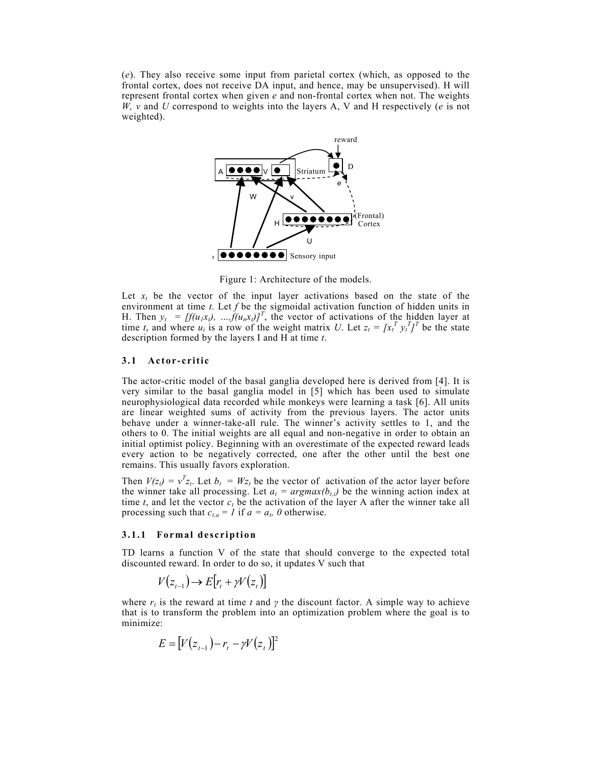(*e*). They also receive some input from parietal cortex (which, as opposed to the frontal cortex, does not receive DA input, and hence, may be unsupervised). H will represent frontal cortex when given *e* and non-frontal cortex when not. The weights *W, v* and *U* correspond to weights into the layers A, V and H respectively (*e* is not weighted).



Figure 1: Architecture of the models.

Let  $x_t$  be the vector of the input layer activations based on the state of the environment at time *t*. Let *f* be the sigmoidal activation function of hidden units in H. Then  $y_t = [f(u_1x_t), ..., f(u_nx_t)]^T$ , the vector of activations of the hidden layer at time *t*, and where  $u_i$  is a row of the weight matrix *U*. Let  $z_t = [x_t^T y_t^T]^T$  be the state description formed by the layers I and H at time *t*.

# **3.1 Actor-critic**

The actor-critic model of the basal ganglia developed here is derived from [4]. It is very similar to the basal ganglia model in [5] which has been used to simulate neurophysiological data recorded while monkeys were learning a task [6]. All units are linear weighted sums of activity from the previous layers. The actor units behave under a winner-take-all rule. The winner's activity settles to 1, and the others to 0. The initial weights are all equal and non-negative in order to obtain an initial optimist policy. Beginning with an overestimate of the expected reward leads every action to be negatively corrected, one after the other until the best one remains. This usually favors exploration.

Then  $V(z_t) = v^T z_t$ . Let  $b_t = W z_t$  be the vector of activation of the actor layer before the winner take all processing. Let  $a_t = argmax(b_{t,i})$  be the winning action index at time  $t$ , and let the vector  $c_t$  be the activation of the layer A after the winner take all processing such that  $c_{t,a} = 1$  if  $a = a_t$ , 0 otherwise.

### **3.1.1 Formal description**

TD learns a function V of the state that should converge to the expected total discounted reward. In order to do so, it updates V such that

 $V(z_{t-1}) \rightarrow E[r_t + \gamma V(z_t)]$ 

where  $r_t$  is the reward at time *t* and *γ* the discount factor. A simple way to achieve that is to transform the problem into an optimization problem where the goal is to minimize:

$$
E = [V(z_{t-1}) - r_t - \gamma V(z_t)]^2
$$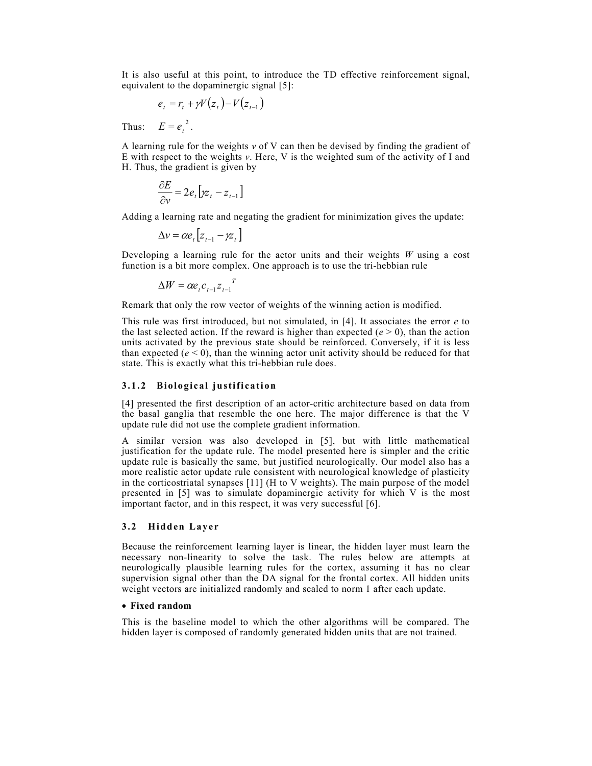It is also useful at this point, to introduce the TD effective reinforcement signal, equivalent to the dopaminergic signal [5]:

$$
e_t = r_t + \gamma V(z_t) - V(z_{t-1})
$$

Thus:  $E = e_t^2$ .

A learning rule for the weights *v* of V can then be devised by finding the gradient of E with respect to the weights *v*. Here, V is the weighted sum of the activity of I and H. Thus, the gradient is given by

$$
\frac{\partial E}{\partial v} = 2e_t \left[ yz_t - z_{t-1} \right]
$$

Adding a learning rate and negating the gradient for minimization gives the update:

$$
\Delta v = \alpha e_t \left[ z_{t-1} - \gamma z_t \right]
$$

Developing a learning rule for the actor units and their weights *W* using a cost function is a bit more complex. One approach is to use the tri-hebbian rule

$$
\Delta W = \alpha e_t c_{t-1} z_{t-1}^T
$$

Remark that only the row vector of weights of the winning action is modified.

This rule was first introduced, but not simulated, in [4]. It associates the error *e* to the last selected action. If the reward is higher than expected  $(e > 0)$ , than the action units activated by the previous state should be reinforced. Conversely, if it is less than expected  $(e < 0)$ , than the winning actor unit activity should be reduced for that state. This is exactly what this tri-hebbian rule does.

### **3.1.2 Biological justification**

[4] presented the first description of an actor-critic architecture based on data from the basal ganglia that resemble the one here. The major difference is that the V update rule did not use the complete gradient information.

A similar version was also developed in [5], but with little mathematical justification for the update rule. The model presented here is simpler and the critic update rule is basically the same, but justified neurologically. Our model also has a more realistic actor update rule consistent with neurological knowledge of plasticity in the corticostriatal synapses [11] (H to V weights). The main purpose of the model presented in [5] was to simulate dopaminergic activity for which V is the most important factor, and in this respect, it was very successful [6].

### **3.2 Hidden Layer**

Because the reinforcement learning layer is linear, the hidden layer must learn the necessary non-linearity to solve the task. The rules below are attempts at neurologically plausible learning rules for the cortex, assuming it has no clear supervision signal other than the DA signal for the frontal cortex. All hidden units weight vectors are initialized randomly and scaled to norm 1 after each update.

# • **Fixed random**

This is the baseline model to which the other algorithms will be compared. The hidden layer is composed of randomly generated hidden units that are not trained.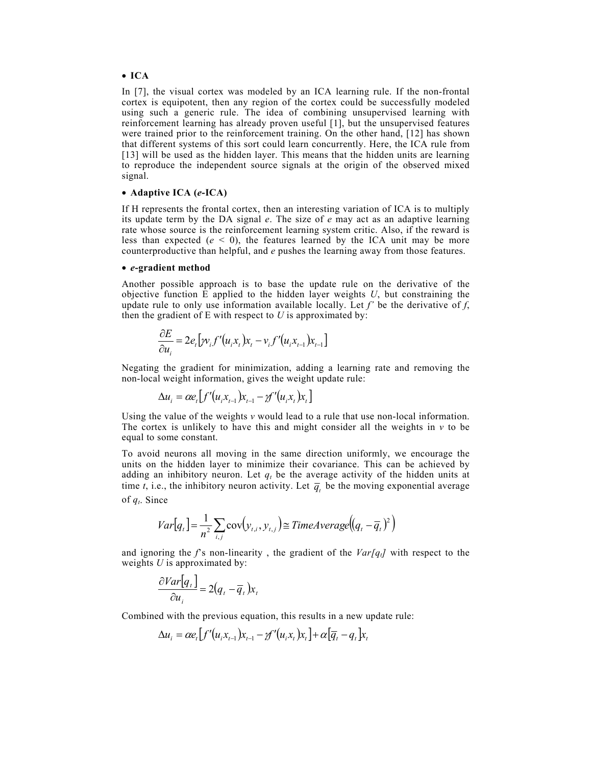#### • **ICA**

In [7], the visual cortex was modeled by an ICA learning rule. If the non-frontal cortex is equipotent, then any region of the cortex could be successfully modeled using such a generic rule. The idea of combining unsupervised learning with reinforcement learning has already proven useful [1], but the unsupervised features were trained prior to the reinforcement training. On the other hand, [12] has shown that different systems of this sort could learn concurrently. Here, the ICA rule from [13] will be used as the hidden layer. This means that the hidden units are learning to reproduce the independent source signals at the origin of the observed mixed signal.

### • **Adaptive ICA (***e***-ICA)**

If H represents the frontal cortex, then an interesting variation of ICA is to multiply its update term by the DA signal *e*. The size of *e* may act as an adaptive learning rate whose source is the reinforcement learning system critic. Also, if the reward is less than expected  $(e < 0)$ , the features learned by the ICA unit may be more counterproductive than helpful, and *e* pushes the learning away from those features.

#### • *e***-gradient method**

Another possible approach is to base the update rule on the derivative of the objective function E applied to the hidden layer weights *U*, but constraining the update rule to only use information available locally. Let  $f'$  be the derivative of  $f$ , then the gradient of  $E$  with respect to  $U$  is approximated by:

$$
\frac{\partial E}{\partial u_i} = 2e_t \big[ \mathcal{W}_i f'(u_i x_t) x_t - v_i f'(u_i x_{t-1}) x_{t-1} \big]
$$

Negating the gradient for minimization, adding a learning rate and removing the non-local weight information, gives the weight update rule:

$$
\Delta u_i = \alpha e_t \big[ f'(u_i x_{t-1}) x_{t-1} - \gamma f'(u_i x_t) x_t \big]
$$

Using the value of the weights *v* would lead to a rule that use non-local information. The cortex is unlikely to have this and might consider all the weights in  $\nu$  to be equal to some constant.

To avoid neurons all moving in the same direction uniformly, we encourage the units on the hidden layer to minimize their covariance. This can be achieved by adding an inhibitory neuron. Let  $q_t$  be the average activity of the hidden units at time *t*, i.e., the inhibitory neuron activity. Let  $\overline{q}$ , be the moving exponential average of *qt*. Since

$$
Var[q_t] = \frac{1}{n^2} \sum_{i,j} cov(y_{t,i}, y_{t,j}) \cong TimeAverage((q_t - \overline{q}_t)^2)
$$

and ignoring the  $f$ 's non-linearity, the gradient of the  $Var[q_t]$  with respect to the weights *U* is approximated by:

$$
\frac{\partial Var[q_t]}{\partial u_i} = 2(q_t - \overline{q}_t)x_i
$$

Combined with the previous equation, this results in a new update rule:

$$
\Delta u_i = \alpha e_t \left[ f'(u_i x_{t-1}) x_{t-1} - \gamma f'(u_i x_t) x_t \right] + \alpha \left[ \overline{q}_t - q_t \right] x_t
$$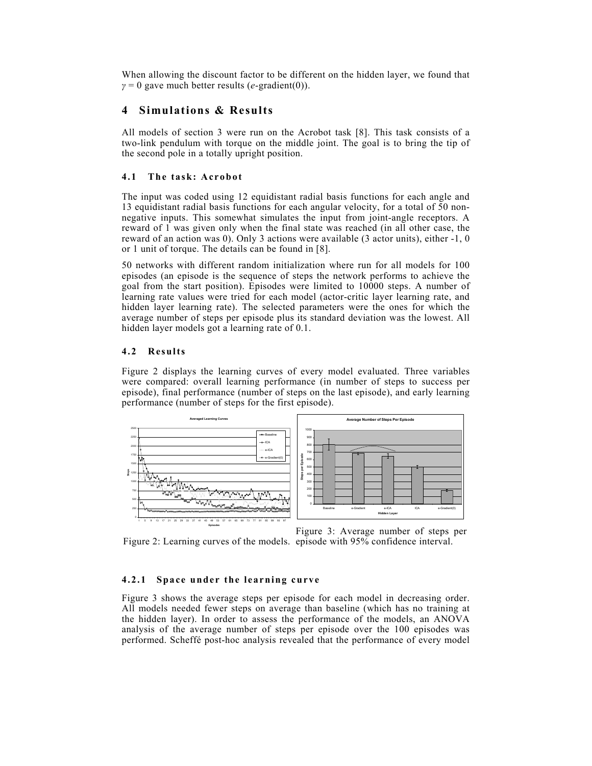When allowing the discount factor to be different on the hidden layer, we found that  $\gamma = 0$  gave much better results (*e*-gradient(0)).

# **4 Simulations & Results**

All models of section 3 were run on the Acrobot task [8]. This task consists of a two-link pendulum with torque on the middle joint. The goal is to bring the tip of the second pole in a totally upright position.

### **4.1 The task: Acrobot**

The input was coded using 12 equidistant radial basis functions for each angle and 13 equidistant radial basis functions for each angular velocity, for a total of 50 nonnegative inputs. This somewhat simulates the input from joint-angle receptors. A reward of 1 was given only when the final state was reached (in all other case, the reward of an action was 0). Only 3 actions were available (3 actor units), either -1, 0 or 1 unit of torque. The details can be found in [8].

50 networks with different random initialization where run for all models for 100 episodes (an episode is the sequence of steps the network performs to achieve the goal from the start position). Episodes were limited to 10000 steps. A number of learning rate values were tried for each model (actor-critic layer learning rate, and hidden layer learning rate). The selected parameters were the ones for which the average number of steps per episode plus its standard deviation was the lowest. All hidden layer models got a learning rate of 0.1.

#### **4.2 Results**

Figure 2 displays the learning curves of every model evaluated. Three variables were compared: overall learning performance (in number of steps to success per episode), final performance (number of steps on the last episode), and early learning performance (number of steps for the first episode).



Figure 2: Learning curves of the models. episode with 95% confidence interval.

Figure 3: Average number of steps per

# **4.2.1 Space under the learning curve**

Figure 3 shows the average steps per episode for each model in decreasing order. All models needed fewer steps on average than baseline (which has no training at the hidden layer). In order to assess the performance of the models, an ANOVA analysis of the average number of steps per episode over the 100 episodes was performed. Scheffé post-hoc analysis revealed that the performance of every model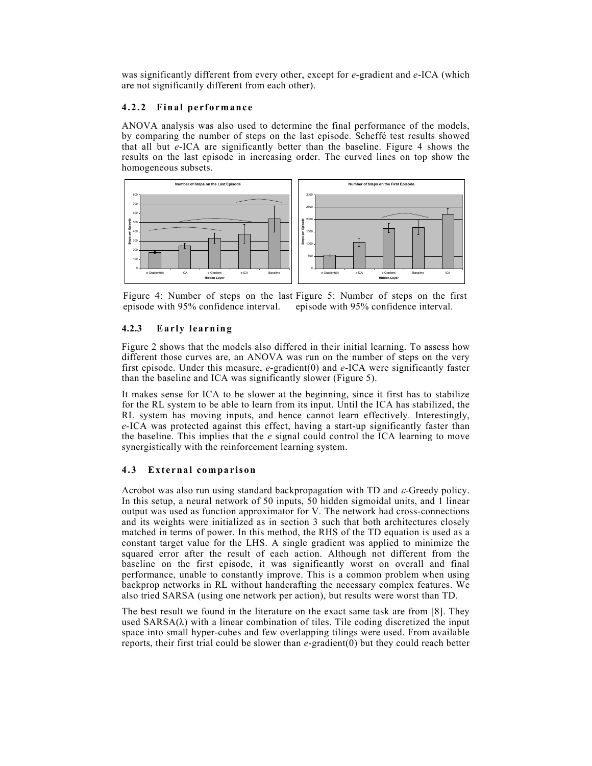was significantly different from every other, except for *e*-gradient and *e*-ICA (which are not significantly different from each other).

# **4.2.2 Final performance**

ANOVA analysis was also used to determine the final performance of the models, by comparing the number of steps on the last episode. Scheffé test results showed that all but *e*-ICA are significantly better than the baseline. Figure 4 shows the results on the last episode in increasing order. The curved lines on top show the homogeneous subsets.



Figure 4: Number of steps on the last Figure 5: Number of steps on the first episode with 95% confidence interval. episode with 95% confidence interval.

# **4.2.3 Early learning**

Figure 2 shows that the models also differed in their initial learning. To assess how different those curves are, an ANOVA was run on the number of steps on the very first episode. Under this measure, *e*-gradient(0) and *e*-ICA were significantly faster than the baseline and ICA was significantly slower (Figure 5).

It makes sense for ICA to be slower at the beginning, since it first has to stabilize for the RL system to be able to learn from its input. Until the ICA has stabilized, the RL system has moving inputs, and hence cannot learn effectively. Interestingly, *e-*ICA was protected against this effect, having a start-up significantly faster than the baseline. This implies that the *e* signal could control the ICA learning to move synergistically with the reinforcement learning system.

# **4.3 External comparison**

Acrobot was also run using standard backpropagation with TD and  $\varepsilon$ -Greedy policy. In this setup, a neural network of 50 inputs, 50 hidden sigmoidal units, and 1 linear output was used as function approximator for V. The network had cross-connections and its weights were initialized as in section 3 such that both architectures closely matched in terms of power. In this method, the RHS of the TD equation is used as a constant target value for the LHS. A single gradient was applied to minimize the squared error after the result of each action. Although not different from the baseline on the first episode, it was significantly worst on overall and final performance, unable to constantly improve. This is a common problem when using backprop networks in RL without handcrafting the necessary complex features. We also tried SARSA (using one network per action), but results were worst than TD.

The best result we found in the literature on the exact same task are from [8]. They used  $SARSA(\lambda)$  with a linear combination of tiles. Tile coding discretized the input space into small hyper-cubes and few overlapping tilings were used. From available reports, their first trial could be slower than *e*-gradient(0) but they could reach better